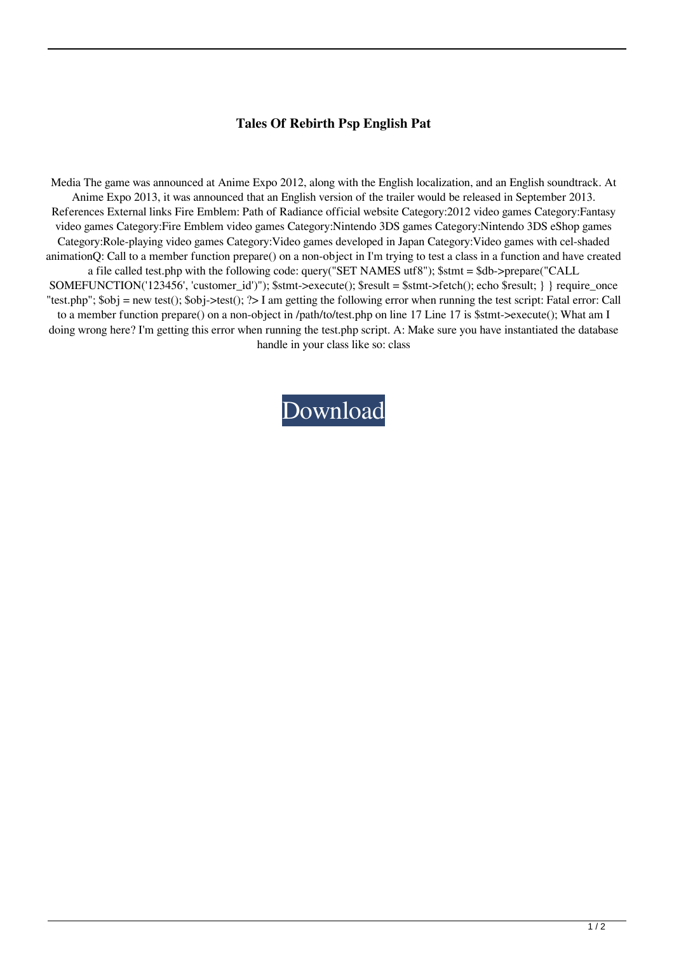## **Tales Of Rebirth Psp English Pat**

Media The game was announced at Anime Expo 2012, along with the English localization, and an English soundtrack. At Anime Expo 2013, it was announced that an English version of the trailer would be released in September 2013. References External links Fire Emblem: Path of Radiance official website Category:2012 video games Category:Fantasy video games Category:Fire Emblem video games Category:Nintendo 3DS games Category:Nintendo 3DS eShop games Category:Role-playing video games Category:Video games developed in Japan Category:Video games with cel-shaded animationQ: Call to a member function prepare() on a non-object in I'm trying to test a class in a function and have created a file called test.php with the following code: query("SET NAMES utf8"); \$stmt = \$db->prepare("CALL SOMEFUNCTION('123456', 'customer\_id')"); \$stmt->execute(); \$result = \$stmt->fetch(); echo \$result; } } require\_once "test.php";  $\delta$ obj = new test();  $\delta$ obj->test();  $\delta$  I am getting the following error when running the test script: Fatal error: Call to a member function prepare() on a non-object in /path/to/test.php on line 17 Line 17 is \$stmt->execute(); What am I doing wrong here? I'm getting this error when running the test.php script. A: Make sure you have instantiated the database handle in your class like so: class

[Download](http://evacdir.com/VGFsZXMgT2YgUmViaXJ0aCBQc3AgRW5nbGlzaCBQYXQVGF/alliedhighschool=ZG93bmxvYWR8RmwxTW1FeWVYeDhNVFkxTWpRMk16QTFNSHg4TWpVM05IeDhLRTBwSUhKbFlXUXRZbXh2WnlCYlJtRnpkQ0JIUlU1ZA/burgundy/mutilated.lilac)